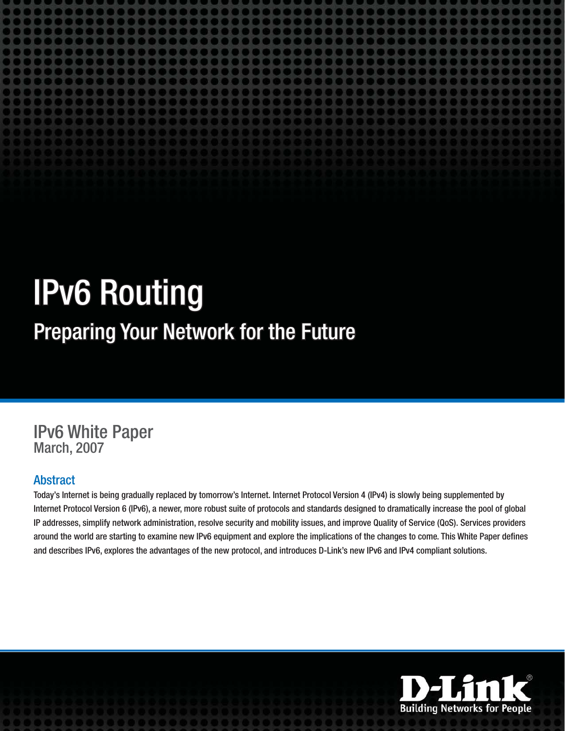# **IPv6 Routing**

# Preparing Your Network for the Future

# **IPv6 White Paper March, 2007**

#### **Abstract**

Today's Internet is being gradually replaced by tomorrow's Internet. Internet Protocol Version 4 (IPv4) is slowly being supplemented by Internet Protocol Version 6 (IPv6), a newer, more robust suite of protocols and standards designed to dramatically increase the pool of global IP addresses, simplify network administration, resolve security and mobility issues, and improve Quality of Service (QoS). Services providers around the world are starting to examine new IPv6 equipment and explore the implications of the changes to come. This White Paper defines and describes IPv6, explores the advantages of the new protocol, and introduces D-Link's new IPv6 and IPv4 compliant solutions.

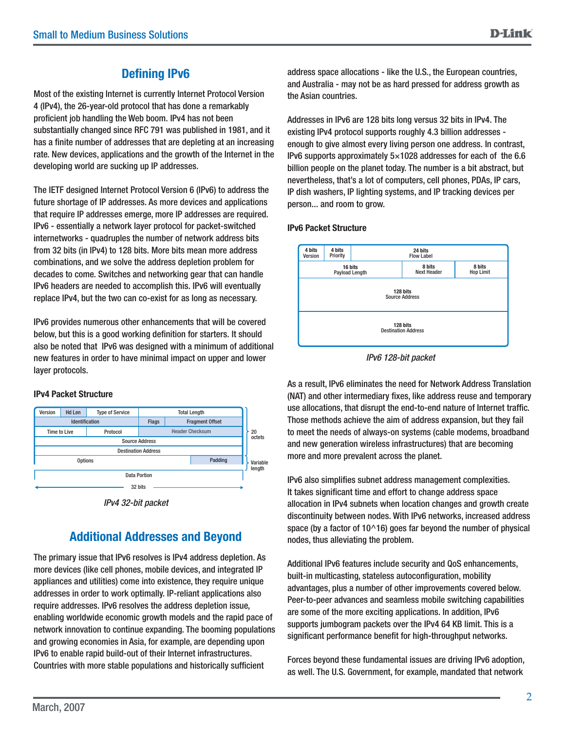#### **Defining IPv6**

Most of the existing Internet is currently Internet Protocol Version 4 (IPv4), the 26-year-old protocol that has done a remarkably proficient job handling the Web boom. IPv4 has not been substantially changed since RFC 791 was published in 1981, and it has a finite number of addresses that are depleting at an increasing rate. New devices, applications and the growth of the Internet in the developing world are sucking up IP addresses.

The IETF designed Internet Protocol Version 6 (IPv6) to address the future shortage of IP addresses. As more devices and applications that require IP addresses emerge, more IP addresses are required. IPv6 - essentially a network layer protocol for packet-switched internetworks - quadruples the number of network address bits from 32 bits (in IPv4) to 128 bits. More bits mean more address combinations, and we solve the address depletion problem for decades to come. Switches and networking gear that can handle IPv6 headers are needed to accomplish this. IPv6 will eventually replace IPv4, but the two can co-exist for as long as necessary.

IPv6 provides numerous other enhancements that will be covered below, but this is a good working definition for starters. It should also be noted that IPv6 was designed with a minimum of additional new features in order to have minimal impact on upper and lower layer protocols.



#### **IPv4 Packet Structure**

## **Additional Addresses and Beyond**

The primary issue that IPv6 resolves is IPv4 address depletion. As more devices (like cell phones, mobile devices, and integrated IP appliances and utilities) come into existence, they require unique addresses in order to work optimally. IP-reliant applications also require addresses. IPv6 resolves the address depletion issue, enabling worldwide economic growth models and the rapid pace of network innovation to continue expanding. The booming populations and growing economies in Asia, for example, are depending upon IPv6 to enable rapid build-out of their Internet infrastructures. Countries with more stable populations and historically sufficient

address space allocations - like the U.S., the European countries, and Australia - may not be as hard pressed for address growth as the Asian countries.

Addresses in IPv6 are 128 bits long versus 32 bits in IPv4. The existing IPv4 protocol supports roughly 4.3 billion addresses enough to give almost every living person one address. In contrast, IPv6 supports approximately  $5\times1028$  addresses for each of the 6.6 billion people on the planet today. The number is a bit abstract, but nevertheless, that's a lot of computers, cell phones, PDAs, IP cars, IP dish washers, IP lighting systems, and IP tracking devices per person... and room to grow.

#### **IPv6 Packet Structure**



*IPv6 128-bit packet*

As a result, IPv6 eliminates the need for Network Address Translation (NAT) and other intermediary fixes, like address reuse and temporary use allocations, that disrupt the end-to-end nature of Internet traffic. Those methods achieve the aim of address expansion, but they fail to meet the needs of always-on systems (cable modems, broadband and new generation wireless infrastructures) that are becoming more and more prevalent across the planet.

IPv6 also simplifies subnet address management complexities. It takes significant time and effort to change address space allocation in IPv4 subnets when location changes and growth create discontinuity between nodes. With IPv6 networks, increased address space (by a factor of  $10^{\wedge}16$ ) goes far beyond the number of physical nodes, thus alleviating the problem.

Additional IPv6 features include security and QoS enhancements, built-in multicasting, stateless autoconfiguration, mobility advantages, plus a number of other improvements covered below. Peer-to-peer advances and seamless mobile switching capabilities are some of the more exciting applications. In addition, IPv6 supports jumbogram packets over the IPv4 64 KB limit. This is a significant performance benefit for high-throughput networks.

Forces beyond these fundamental issues are driving IPv6 adoption, as well. The U.S. Government, for example, mandated that network

*IPv4 32-bit packet*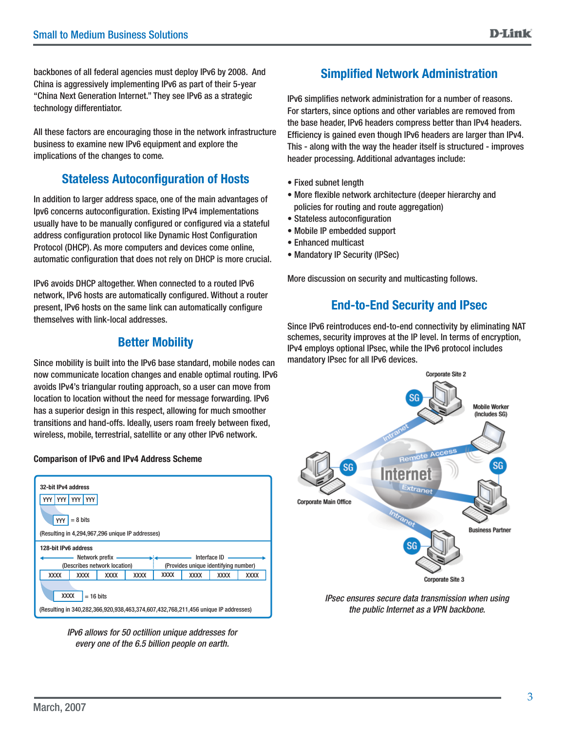backbones of all federal agencies must deploy IPv6 by 2008. And China is aggressively implementing IPv6 as part of their 5-year "China Next Generation Internet." They see IPv6 as a strategic technology differentiator.

All these factors are encouraging those in the network infrastructure business to examine new IPv6 equipment and explore the implications of the changes to come.

#### **Stateless Autoconfiguration of Hosts**

In addition to larger address space, one of the main advantages of Ipv6 concerns autoconfiguration. Existing IPv4 implementations usually have to be manually configured or configured via a stateful address configuration protocol like Dynamic Host Configuration Protocol (DHCP). As more computers and devices come online, automatic configuration that does not rely on DHCP is more crucial.

IPv6 avoids DHCP altogether. When connected to a routed IPv6 network, IPv6 hosts are automatically configured. Without a router present, IPv6 hosts on the same link can automatically configure themselves with link-local addresses.

#### **Better Mobility**

Since mobility is built into the IPv6 base standard, mobile nodes can now communicate location changes and enable optimal routing. IPv6 avoids IPv4's triangular routing approach, so a user can move from location to location without the need for message forwarding. IPv6 has a superior design in this respect, allowing for much smoother transitions and hand-offs. Ideally, users roam freely between fixed, wireless, mobile, terrestrial, satellite or any other IPv6 network.

#### **Comparison of IPv6 and IPv4 Address Scheme omparison**



*IPv6 allows for 50 octillion unique addresses for every one of the 6.5 billion people on earth.*

#### **Simplified Network Administration**

IPv6 simplifies network administration for a number of reasons. For starters, since options and other variables are removed from the base header, IPv6 headers compress better than IPv4 headers. Efficiency is gained even though IPv6 headers are larger than IPv4. This - along with the way the header itself is structured - improves header processing. Additional advantages include:

- Fixed subnet length
- More flexible network architecture (deeper hierarchy and policies for routing and route aggregation)
- Stateless autoconfiguration
- Mobile IP embedded support
- Enhanced multicast
- Mandatory IP Security (IPSec)

More discussion on security and multicasting follows.

#### **End-to-End Security and IPsec**

Since IPv6 reintroduces end-to-end connectivity by eliminating NAT schemes, security improves at the IP level. In terms of encryption, IPv4 employs optional IPsec, while the IPv6 protocol includes mandatory IPsec for all IPv6 devices.



*IPsec ensures secure data transmission when using the public Internet as a VPN backbone.*